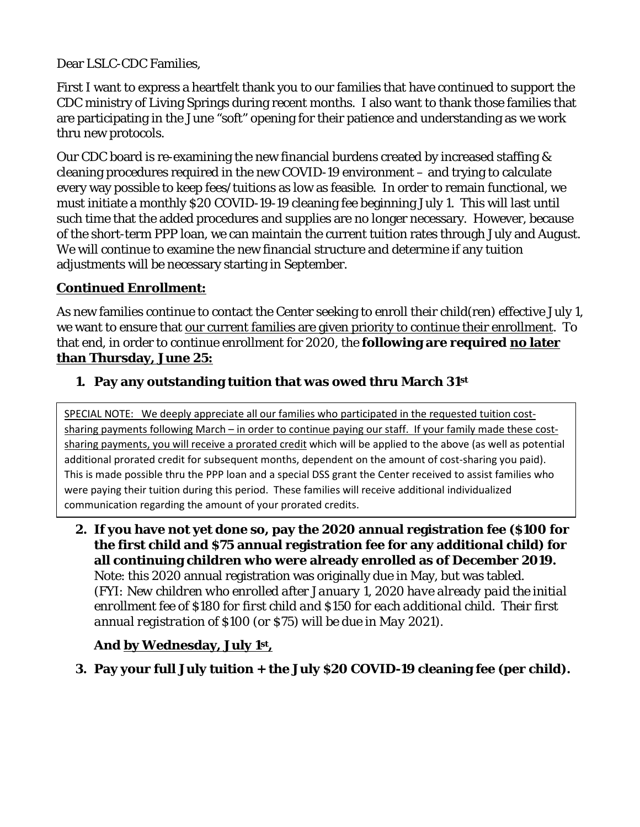Dear LSLC-CDC Families,

First I want to express a heartfelt thank you to our families that have continued to support the CDC ministry of Living Springs during recent months. I also want to thank those families that are participating in the June "soft" opening for their patience and understanding as we work thru new protocols.

Our CDC board is re-examining the new financial burdens created by increased staffing  $\&$ cleaning procedures required in the new COVID-19 environment – and trying to calculate every way possible to keep fees/tuitions as low as feasible. In order to remain functional, we must initiate a monthly \$20 COVID-19-19 cleaning fee beginning July 1. This will last until such time that the added procedures and supplies are no longer necessary. However, because of the short-term PPP loan, we can maintain the current tuition rates through July and August. We will continue to examine the new financial structure and determine if any tuition adjustments will be necessary starting in September.

## **Continued Enrollment:**

As new families continue to contact the Center seeking to enroll their child(ren) effective July 1, we want to ensure that our current families are given priority to continue their enrollment. To that end, in order to continue enrollment for 2020, the **following are required no later than Thursday, June 25:**

## **1. Pay any outstanding tuition that was owed thru March 31st**

SPECIAL NOTE: We deeply appreciate all our families who participated in the requested tuition costsharing payments following March – in order to continue paying our staff. If your family made these costsharing payments, you will receive a prorated credit which will be applied to the above (as well as potential additional prorated credit for subsequent months, dependent on the amount of cost-sharing you paid). This is made possible thru the PPP loan and a special DSS grant the Center received to assist families who were paying their tuition during this period. These families will receive additional individualized communication regarding the amount of your prorated credits.

**2. If you have not yet done so, pay the 2020 annual registration fee (\$100 for the first child and \$75 annual registration fee for any additional child) for all continuing children who were already enrolled as of December 2019.**  Note: this 2020 annual registration was originally due in May, but was tabled. (*FYI: New children who enrolled after January 1, 2020 have already paid the initial enrollment fee of \$180 for first child and \$150 for each additional child. Their first annual registration of \$100 (or \$75) will be due in May 2021).*

# **And by Wednesday, July 1st,**

**3. Pay your full July tuition + the July \$20 COVID-19 cleaning fee (per child).**